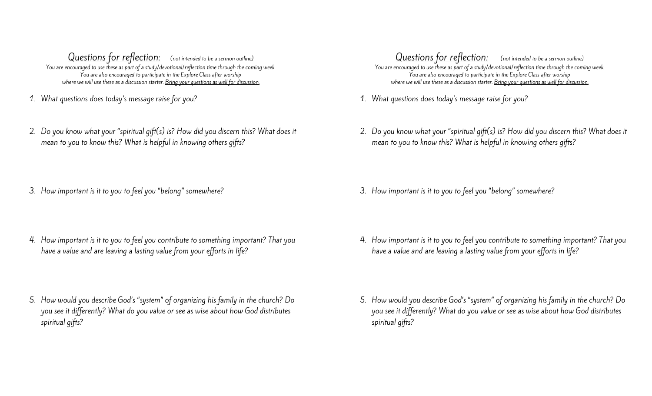Questions for reflection: (not intended to be a sermon outline) You are encouraged to use these as part of a study/devotional/reflection time through the coming week. You are also encouraged to participate in the Explore Class after worship where we will use these as a discussion starter. Bring your questions as well for discussion.

- 1. What questions does today's message raise for you?
- 2. Do you know what your "spiritual gift(s) is? How did you discern this? What does it mean to you to know this? What is helpful in knowing others gifts?
- 3. How important is it to you to feel you "belong" somewhere?
- 4. How important is it to you to feel you contribute to something important? That you have a value and are leaving a lasting value from your efforts in life?
- 5. How would you describe God's "system" of organizing his family in the church? Do you see it differently? What do you value or see as wise about how God distributes spiritual gifts?

Questions for reflection: (not intended to be a sermon outline) You are encouraged to use these as part of a study/devotional/reflection time through the coming week. You are also encouraged to participate in the Explore Class after worship where we will use these as a discussion starter. Bring your questions as well for discussion.

- 1. What questions does today's message raise for you?
- 2. Do you know what your "spiritual gift(s) is? How did you discern this? What does it mean to you to know this? What is helpful in knowing others gifts?
- 3. How important is it to you to feel you "belong" somewhere?
- 4. How important is it to you to feel you contribute to something important? That you have a value and are leaving a lasting value from your efforts in life?
- 5. How would you describe God's "system" of organizing his family in the church? Do you see it differently? What do you value or see as wise about how God distributes spiritual gifts?